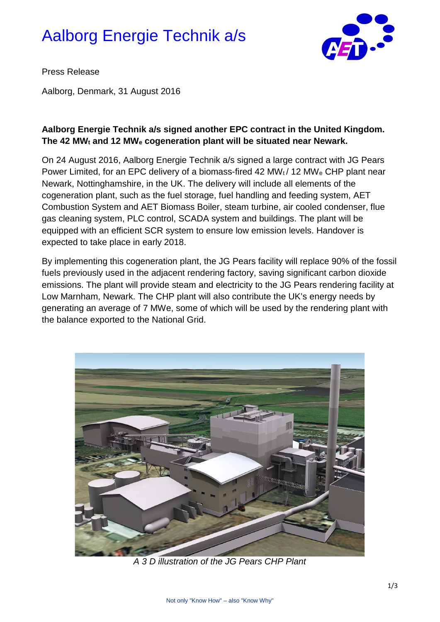# Aalborg Energie Technik a/s



Press Release

Aalborg, Denmark, 31 August 2016

## **Aalborg Energie Technik a/s signed another EPC contract in the United Kingdom. The 42 MWt and 12 MWe cogeneration plant will be situated near Newark.**

On 24 August 2016, Aalborg Energie Technik a/s signed a large contract with JG Pears Power Limited, for an EPC delivery of a biomass-fired 42 MWt / 12 MWe CHP plant near Newark, Nottinghamshire, in the UK. The delivery will include all elements of the cogeneration plant, such as the fuel storage, fuel handling and feeding system, AET Combustion System and AET Biomass Boiler, steam turbine, air cooled condenser, flue gas cleaning system, PLC control, SCADA system and buildings. The plant will be equipped with an efficient SCR system to ensure low emission levels. Handover is expected to take place in early 2018.

By implementing this cogeneration plant, the JG Pears facility will replace 90% of the fossil fuels previously used in the adjacent rendering factory, saving significant carbon dioxide emissions. The plant will provide steam and electricity to the JG Pears rendering facility at Low Marnham, Newark. The CHP plant will also contribute the UK's energy needs by generating an average of 7 MWe, some of which will be used by the rendering plant with the balance exported to the National Grid.



*A 3 D illustration of the JG Pears CHP Plant*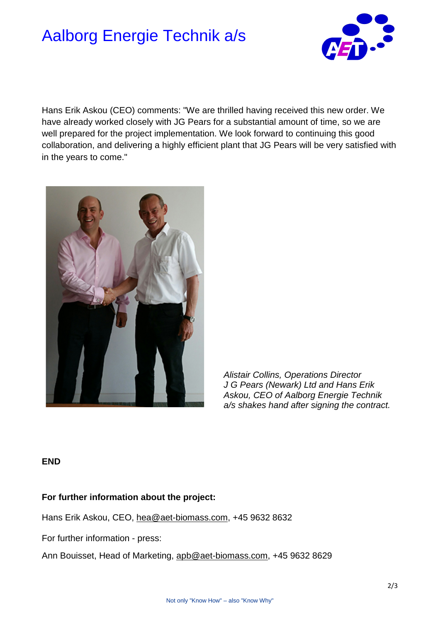# Aalborg Energie Technik a/s



Hans Erik Askou (CEO) comments: "We are thrilled having received this new order. We have already worked closely with JG Pears for a substantial amount of time, so we are well prepared for the project implementation. We look forward to continuing this good collaboration, and delivering a highly efficient plant that JG Pears will be very satisfied with in the years to come."



*Alistair Collins, Operations Director J G Pears (Newark) Ltd and Hans Erik Askou, CEO of Aalborg Energie Technik a/s shakes hand after signing the contract.*

#### **END**

### **For further information about the project:**

Hans Erik Askou, CEO, [hea@aet-biomass.com,](mailto:CJO@aet-biomass.com) +45 9632 8632

For further information - press:

Ann Bouisset, Head of Marketing, [apb@aet-biomass.com,](mailto:dio@aet-biomass.com) +45 9632 8629